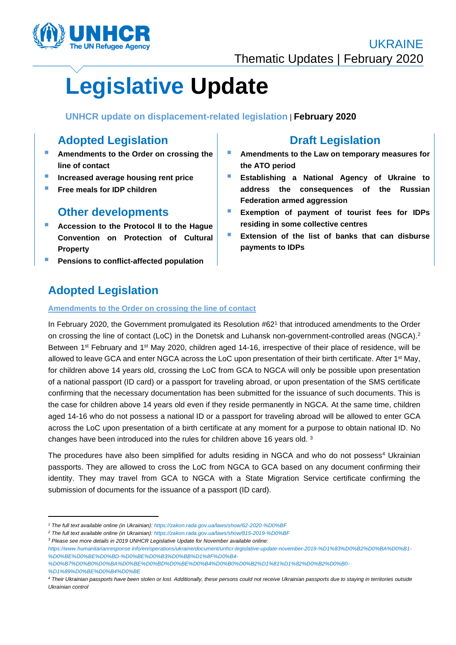

# **Legislative Update**

**UNHCR update on displacement-related legislation** | **February 2020**

# **Adopted Legislation**

- Amendments to the Order on crossing the **line of contact**
- $\blacksquare$  Increased average housing rent price
- **E** Free meals for IDP children

## **Other developments**

- **Accession to the Protocol II to the Hague Convention on Protection of Cultural Property**
- **Pensions to conflict-affected population**

# **Draft Legislation**

- **E** Amendments to the Law on temporary measures for **the ATO period**
- **Establishing a National Agency of Ukraine to address the consequences of the Russian Federation armed aggression**
- **Exemption of payment of tourist fees for IDPs residing in some collective centres**
- **Extension of the list of banks that can disburse payments to IDPs**

# **Adopted Legislation**

## **Amendments to the Order on crossing the line of contact**

In February 2020, the Government promulgated its Resolution #62<sup>1</sup> that introduced amendments to the Order on crossing the line of contact (LoC) in the Donetsk and Luhansk non-government-controlled areas (NGCA).<sup>2</sup> Between 1<sup>st</sup> February and 1<sup>st</sup> May 2020, children aged 14-16, irrespective of their place of residence, will be allowed to leave GCA and enter NGCA across the LoC upon presentation of their birth certificate. After 1<sup>st</sup> May, for children above 14 years old, crossing the LoC from GCA to NGCA will only be possible upon presentation of a national passport (ID card) or a passport for traveling abroad, or upon presentation of the SMS certificate confirming that the necessary documentation has been submitted for the issuance of such documents. This is the case for children above 14 years old even if they reside permanently in NGCA. At the same time, children aged 14-16 who do not possess a national ID or a passport for traveling abroad will be allowed to enter GCA across the LoC upon presentation of a birth certificate at any moment for a purpose to obtain national ID. No changes have been introduced into the rules for children above 16 years old.<sup>3</sup>

The procedures have also been simplified for adults residing in NGCA and who do not possess<sup>4</sup> Ukrainian passports. They are allowed to cross the LoC from NGCA to GCA based on any document confirming their identity. They may travel from GCA to NGCA with a State Migration Service certificate confirming the submission of documents for the issuance of a passport (ID card).

*<sup>2</sup> The full text available online (in Ukrainian)[: https://zakon.rada.gov.ua/laws/show/815-2019-%D0%BF](https://zakon.rada.gov.ua/laws/show/815-2019-%D0%BF)*

*<sup>3</sup> Please see more details in 2019 UNHCR Legislative Update for November available online:* 

*<sup>1</sup> The full text available online (in Ukrainian)[: https://zakon.rada.gov.ua/laws/show/62-2020-%D0%BF](https://zakon.rada.gov.ua/laws/show/62-2020-%D0%BF)*

*[https://www.humanitarianresponse.info/en/operations/ukraine/document/unhcr-legislative-update-november-2019-%D1%83%D0%B2%D0%BA%D0%B1-](https://www.humanitarianresponse.info/en/operations/ukraine/document/unhcr-legislative-update-november-2019-%D1%83%D0%B2%D0%BA%D0%B1-%D0%BE%D0%BE%D0%BD-%D0%BE%D0%B3%D0%BB%D1%8F%D0%B4-%D0%B7%D0%B0%D0%BA%D0%BE%D0%BD%D0%BE%D0%B4%D0%B0%D0%B2%D1%81%D1%82%D0%B2%D0%B0-%D1%89%D0%BE%D0%B4%D0%BE) [%D0%BE%D0%BE%D0%BD-%D0%BE%D0%B3%D0%BB%D1%8F%D0%B4-](https://www.humanitarianresponse.info/en/operations/ukraine/document/unhcr-legislative-update-november-2019-%D1%83%D0%B2%D0%BA%D0%B1-%D0%BE%D0%BE%D0%BD-%D0%BE%D0%B3%D0%BB%D1%8F%D0%B4-%D0%B7%D0%B0%D0%BA%D0%BE%D0%BD%D0%BE%D0%B4%D0%B0%D0%B2%D1%81%D1%82%D0%B2%D0%B0-%D1%89%D0%BE%D0%B4%D0%BE)*

*[<sup>%</sup>D0%B7%D0%B0%D0%BA%D0%BE%D0%BD%D0%BE%D0%B4%D0%B0%D0%B2%D1%81%D1%82%D0%B2%D0%B0-](https://www.humanitarianresponse.info/en/operations/ukraine/document/unhcr-legislative-update-november-2019-%D1%83%D0%B2%D0%BA%D0%B1-%D0%BE%D0%BE%D0%BD-%D0%BE%D0%B3%D0%BB%D1%8F%D0%B4-%D0%B7%D0%B0%D0%BA%D0%BE%D0%BD%D0%BE%D0%B4%D0%B0%D0%B2%D1%81%D1%82%D0%B2%D0%B0-%D1%89%D0%BE%D0%B4%D0%BE) [%D1%89%D0%BE%D0%B4%D0%BE](https://www.humanitarianresponse.info/en/operations/ukraine/document/unhcr-legislative-update-november-2019-%D1%83%D0%B2%D0%BA%D0%B1-%D0%BE%D0%BE%D0%BD-%D0%BE%D0%B3%D0%BB%D1%8F%D0%B4-%D0%B7%D0%B0%D0%BA%D0%BE%D0%BD%D0%BE%D0%B4%D0%B0%D0%B2%D1%81%D1%82%D0%B2%D0%B0-%D1%89%D0%BE%D0%B4%D0%BE)*

*<sup>4</sup> Their Ukrainian passports have been stolen or lost. Additionally, these persons could not receive Ukrainian passports due to staying in territories outside Ukrainian control*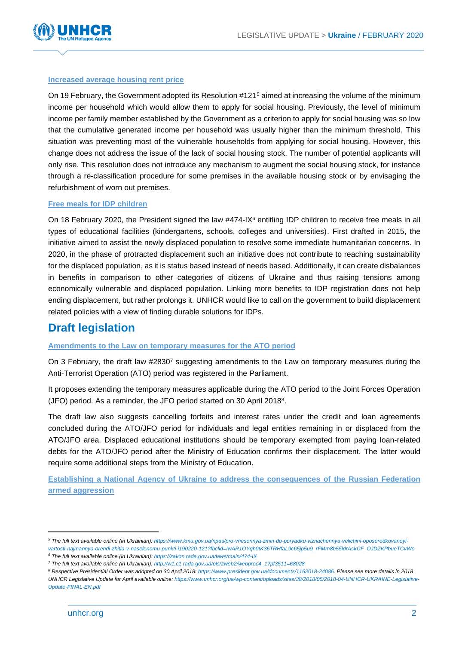

## **Increased average housing rent price**

On 19 February, the Government adopted its Resolution #121<sup>5</sup> aimed at increasing the volume of the minimum income per household which would allow them to apply for social housing. Previously, the level of minimum income per family member established by the Government as a criterion to apply for social housing was so low that the cumulative generated income per household was usually higher than the minimum threshold. This situation was preventing most of the vulnerable households from applying for social housing. However, this change does not address the issue of the lack of social housing stock. The number of potential applicants will only rise. This resolution does not introduce any mechanism to augment the social housing stock, for instance through a re-classification procedure for some premises in the available housing stock or by envisaging the refurbishment of worn out premises.

## **Free meals for IDP children**

On 18 February 2020, the President signed the law #474-IX<sup>6</sup> entitling IDP children to receive free meals in all types of educational facilities (kindergartens, schools, colleges and universities). First drafted in 2015, the initiative aimed to assist the newly displaced population to resolve some immediate humanitarian concerns. In 2020, in the phase of protracted displacement such an initiative does not contribute to reaching sustainability for the displaced population, as it is status based instead of needs based. Additionally, it can create disbalances in benefits in comparison to other categories of citizens of Ukraine and thus raising tensions among economically vulnerable and displaced population. Linking more benefits to IDP registration does not help ending displacement, but rather prolongs it. UNHCR would like to call on the government to build displacement related policies with a view of finding durable solutions for IDPs.

## **Draft legislation**

### **Amendments to the Law on temporary measures for the ATO period**

On 3 February, the draft law #2830<sup>7</sup> suggesting amendments to the Law on temporary measures during the Anti-Terrorist Operation (ATO) period was registered in the Parliament.

It proposes extending the temporary measures applicable during the ATO period to the Joint Forces Operation (JFO) period. As a reminder, the JFO period started on 30 April 2018<sup>8</sup> .

The draft law also suggests cancelling forfeits and interest rates under the credit and loan agreements concluded during the ATO/JFO period for individuals and legal entities remaining in or displaced from the ATO/JFO area. Displaced educational institutions should be temporary exempted from paying loan-related debts for the ATO/JFO period after the Ministry of Education confirms their displacement. The latter would require some additional steps from the Ministry of Education.

**Establishing a National Agency of Ukraine to address the consequences of the Russian Federation armed aggression** 

*<sup>5</sup> The full text available online (in Ukrainian)[: https://www.kmu.gov.ua/npas/pro-vnesennya-zmin-do-poryadku-viznachennya-velichini-oposeredkovanoyi-](https://www.kmu.gov.ua/npas/pro-vnesennya-zmin-do-poryadku-viznachennya-velichini-oposeredkovanoyi-vartosti-najmannya-orendi-zhitla-v-naselenomu-punkti-i190220-121?fbclid=IwAR1OYqh0tK36TRHfaL9c65jp5u9_rFMm8b55ldrAskCF_OJDZKPbueTCvWo)*

*[vartosti-najmannya-orendi-zhitla-v-naselenomu-punkti-i190220-121?fbclid=IwAR1OYqh0tK36TRHfaL9c65jp5u9\\_rFMm8b55ldrAskCF\\_OJDZKPbueTCvWo](https://www.kmu.gov.ua/npas/pro-vnesennya-zmin-do-poryadku-viznachennya-velichini-oposeredkovanoyi-vartosti-najmannya-orendi-zhitla-v-naselenomu-punkti-i190220-121?fbclid=IwAR1OYqh0tK36TRHfaL9c65jp5u9_rFMm8b55ldrAskCF_OJDZKPbueTCvWo) <sup>6</sup> The full text available online (in Ukrainian)[: https://zakon.rada.gov.ua/laws/main/474-IX](https://zakon.rada.gov.ua/laws/main/474-IX)*

*<sup>7</sup> The full text available online (in Ukrainian)[: http://w1.c1.rada.gov.ua/pls/zweb2/webproc4\\_1?pf3511=68028](http://w1.c1.rada.gov.ua/pls/zweb2/webproc4_1?pf3511=68028)*

*<sup>8</sup> Respective Presidential Order was adopted on 30 April 2018: [https://www.president.gov.ua/documents/1162018-24086.](https://www.president.gov.ua/documents/1162018-24086) Please see more details in 2018 UNHCR Legislative Update for April available online: [https://www.unhcr.org/ua/wp-content/uploads/sites/38/2018/05/2018-04-UNHCR-UKRAINE-Legislative-](https://www.unhcr.org/ua/wp-content/uploads/sites/38/2018/05/2018-04-UNHCR-UKRAINE-Legislative-Update-FINAL-EN.pdf)[Update-FINAL-EN.pdf](https://www.unhcr.org/ua/wp-content/uploads/sites/38/2018/05/2018-04-UNHCR-UKRAINE-Legislative-Update-FINAL-EN.pdf)*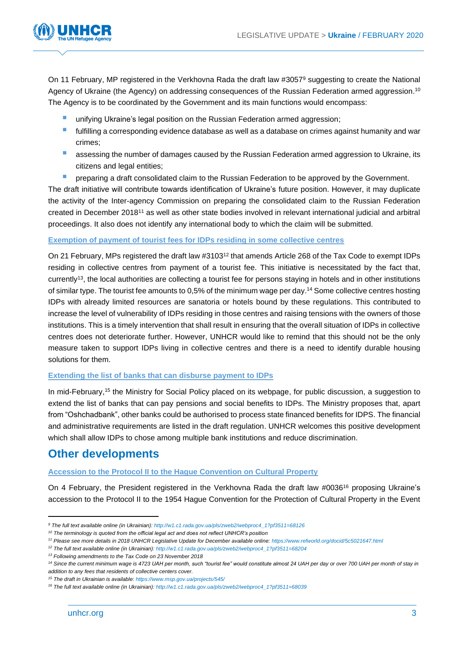

On 11 February, MP registered in the Verkhovna Rada the draft law #30579 suggesting to create the National Agency of Ukraine (the Agency) on addressing consequences of the Russian Federation armed aggression.<sup>10</sup> The Agency is to be coordinated by the Government and its main functions would encompass:

- unifying Ukraine's legal position on the Russian Federation armed aggression;
- **■** fulfilling a corresponding evidence database as well as a database on crimes against humanity and war crimes;
- **E** assessing the number of damages caused by the Russian Federation armed aggression to Ukraine, its citizens and legal entities;
- **E** preparing a draft consolidated claim to the Russian Federation to be approved by the Government.

The draft initiative will contribute towards identification of Ukraine's future position. However, it may duplicate the activity of the Inter-agency Commission on preparing the consolidated claim to the Russian Federation created in December 2018<sup>11</sup> as well as other state bodies involved in relevant international judicial and arbitral proceedings. It also does not identify any international body to which the claim will be submitted.

### **Exemption of payment of tourist fees for IDPs residing in some collective centres**

On 21 February, MPs registered the draft law #3103<sup>12</sup> that amends Article 268 of the Tax Code to exempt IDPs residing in collective centres from payment of a tourist fee. This initiative is necessitated by the fact that, currently<sup>13</sup> , the local authorities are collecting a tourist fee for persons staying in hotels and in other institutions of similar type. The tourist fee amounts to 0,5% of the minimum wage per day. <sup>14</sup> Some collective centres hosting IDPs with already limited resources are sanatoria or hotels bound by these regulations. This contributed to increase the level of vulnerability of IDPs residing in those centres and raising tensions with the owners of those institutions. This is a timely intervention that shall result in ensuring that the overall situation of IDPs in collective centres does not deteriorate further. However, UNHCR would like to remind that this should not be the only measure taken to support IDPs living in collective centres and there is a need to identify durable housing solutions for them.

#### **Extending the list of banks that can disburse payment to IDPs**

In mid-February,<sup>15</sup> the Ministry for Social Policy placed on its webpage, for public discussion, a suggestion to extend the list of banks that can pay pensions and social benefits to IDPs. The Ministry proposes that, apart from "Oshchadbank", other banks could be authorised to process state financed benefits for IDPS. The financial and administrative requirements are listed in the draft regulation. UNHCR welcomes this positive development which shall allow IDPs to chose among multiple bank institutions and reduce discrimination.

## **Other developments**

### **Accession to the Protocol II to the Hague Convention on Cultural Property**

On 4 February, the President registered in the Verkhovna Rada the draft law #0036<sup>16</sup> proposing Ukraine's accession to the Protocol II to the 1954 Hague Convention for the Protection of Cultural Property in the Event

*<sup>9</sup> The full text available online (in Ukrainian)[: http://w1.c1.rada.gov.ua/pls/zweb2/webproc4\\_1?pf3511=68126](http://w1.c1.rada.gov.ua/pls/zweb2/webproc4_1?pf3511=68126)*

*<sup>10</sup> The terminology is quoted from the official legal act and does not reflect UNHCR's position* 

*<sup>11</sup> Please see more details in 2018 UNHCR Legislative Update for December available online:<https://www.refworld.org/docid/5c5021647.html>*

*<sup>12</sup> The full text available online (in Ukrainian): [http://w1.c1.rada.gov.ua/pls/zweb2/webproc4\\_1?pf3511=68204](http://w1.c1.rada.gov.ua/pls/zweb2/webproc4_1?pf3511=68204)*

*<sup>13</sup> Following amendments to the Tax Code on 23 November 2018*

*<sup>14</sup> Since the current minimum wage is 4723 UAH per month, such "tourist fee" would constitute almost 24 UAH per day or over 700 UAH per month of stay in addition to any fees that residents of collective centers cover.*

*<sup>15</sup> The draft in Ukrainian is available[: https://www.msp.gov.ua/projects/545/](https://www.msp.gov.ua/projects/545/)*

*<sup>16</sup> The full text available online (in Ukrainian): [http://w1.c1.rada.gov.ua/pls/zweb2/webproc4\\_1?pf3511=68039](http://w1.c1.rada.gov.ua/pls/zweb2/webproc4_1?pf3511=68039)*